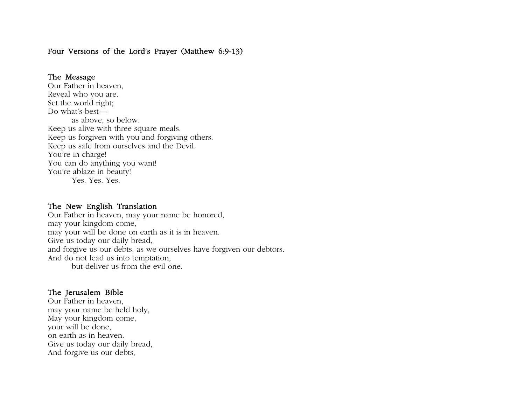# Four Versions of the Lord's Prayer (Matthew 6:9-13)

#### The Message

Our Father in heaven, Reveal who you are. Set the world right; Do what's best as above, so below. Keep us alive with three square meals. Keep us forgiven with you and forgiving others. Keep us safe from ourselves and the Devil. You're in charge! You can do anything you want! You're ablaze in beauty! Yes. Yes. Yes.

#### The New English Translation

Our Father in heaven, may your name be honored, may your kingdom come, may your will be done on earth as it is in heaven. Give us today our daily bread, and forgive us our debts, as we ourselves have forgiven our debtors. And do not lead us into temptation, but deliver us from the evil one.

## The Jerusalem Bible

Our Father in heaven, may your name be held holy, May your kingdom come, your will be done, on earth as in heaven. Give us today our daily bread, And forgive us our debts,